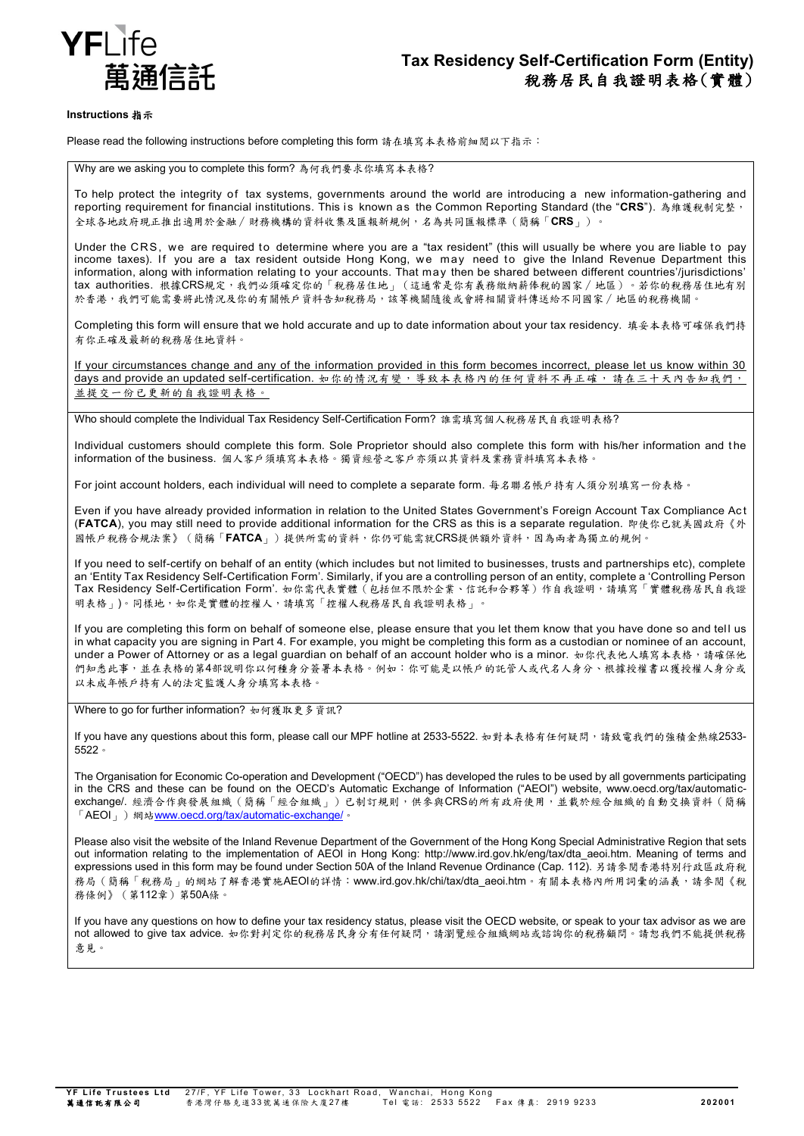

### **Instructions** 指示

Please read the following instructions before completing this form 請在填寫本表格前細閱以下指示:

Why are we asking you to complete this form? 為何我們要求你填寫本表格?

To help protect the integrity of tax systems, governments around the world are introducing a new information-gathering and reporting requirement for financial institutions. This is known as the Common Reporting Standard (the "**CRS**"). 為維護稅制完整, 全球各地政府現正推出適用於金融∕財務機構的資料收集及匯報新規例,名為共同匯報標準(簡稱「**CRS**」)。

Under the CRS, we are required to determine where you are a "tax resident" (this will usually be where you are liable to pay income taxes). If you are a tax resident outside Hong Kong, we may need to give the Inland Revenue Department this information, along with information relating to your accounts. That may then be shared between different countries'/jurisdictions' tax authorities. 根據CRS規定,我們必須確定你的「稅務居住地」(這通常是你有義務繳納薪俸稅的國家∕地區)。若你的稅務居住地有別 於香港,我們可能需要將此情況及你的有關帳戶資料告知稅務局,該等機關隨後或會將相關資料傳送給不同國家/地區的稅務機關。

Completing this form will ensure that we hold accurate and up to date information about your tax residency. 填妥本表格可確保我們持 有你正確及最新的稅務居住地資料。

If your circumstances change and any of the information provided in this form becomes incorrect, please let us know within 30 days and provide an updated self-certification. 如你的情況有變,導致本表格內的任何資料不再正確,請在三十天內告知我們, 並提交一份已更新的自我證明表格。

Who should complete the Individual Tax Residency Self-Certification Form? 誰需填寫個人稅務居民自我證明表格?

Individual customers should complete this form. Sole Proprietor should also complete this form with his/her information and t he information of the business. 個人客戶須填寫本表格。獨資經營之客戶亦須以其資料及業務資料填寫本表格。

For joint account holders, each individual will need to complete a separate form. 每名聯名帳戶持有人須分別填寫一份表格。

Even if you have already provided information in relation to the United States Government's Foreign Account Tax Compliance Ac t (**FATCA**), you may still need to provide additional information for the CRS as this is a separate regulation. 即使你已就美國政府《外 國帳戶稅務合規法案》(簡稱「**FATCA**」)提供所需的資料,你仍可能需就CRS提供額外資料,因為兩者為獨立的規例。

If you need to self-certify on behalf of an entity (which includes but not limited to businesses, trusts and partnerships etc), complete an 'Entity Tax Residency Self-Certification Form'. Similarly, if you are a controlling person of an entity, complete a 'Controlling Person Tax Residency Self-Certification Form'. 如你需代表實體(包括但不限於企業、信託和合夥等)作自我證明,請填寫「實體稅務居民自我證 明表格」)。同樣地,如你是實體的控權人,請填寫「控權人稅務居民自我證明表格」。

If you are completing this form on behalf of someone else, please ensure that you let them know that you have done so and tel l us in what capacity you are signing in Part 4. For example, you might be completing this form as a custodian or nominee of an account, under a Power of Attorney or as a legal guardian on behalf of an account holder who is a minor. 如你代表他人填寫本表格,請確保他 們知悉此事,並在表格的第4部說明你以何種身分簽署本表格。例如:你可能是以帳戶的託管人或代名人身分、根據授權書以獲授權人身分或 以未成年帳戶持有人的法定監護人身分填寫本表格

Where to go for further information? 如何獲取更多資訊?

If you have any questions about this form, please call our MPF hotline at 2533-5522. 如對本表格有任何疑問,請致電我們的強積金熱線2533-5522。

The Organisation for Economic Co-operation and Development ("OECD") has developed the rules to be used by all governments participating in the CRS and these can be found on the OECD's Automatic Exchange of Information ("AEOI") website, www.oecd.org/tax/automaticexchange/. 經濟合作與發展組織(簡稱「經合組織」)已制訂規則,供參與CRS的所有政府使用,並載於經合組織的自動交換資料(簡稱 「AEOI」)網站[www.oecd.org/tax/automatic-exchange/](http://www.oecd.org/tax/automatic-exchange/)。

Please also visit the website of the Inland Revenue Department of the Government of the Hong Kong Special Administrative Region that sets out information relating to the implementation of AEOI in Hong Kong: http://www.ird.gov.hk/eng/tax/dta\_aeoi.htm. Meaning of terms and expressions used in this form may be found under Section 50A of the Inland Revenue Ordinance (Cap. 112). 另請參閱香港特別行政區政府稅 務局(簡稱「稅務局」的網站了解香港實施AEOI的詳情:www.ird.gov.hk/chi/tax/dta\_aeoi.htm。有關本表格內所用詞彙的涵義,請參閱《稅 務條例》(第112章)第50A條。

If you have any questions on how to define your tax residency status, please visit the OECD website, or speak to your tax advisor as we are not allowed to give tax advice. 如你對判定你的稅務居民身分有任何疑問,請瀏覽經合組織網站或諮詢你的稅務顧問。請恕我們不能提供稅務 意見。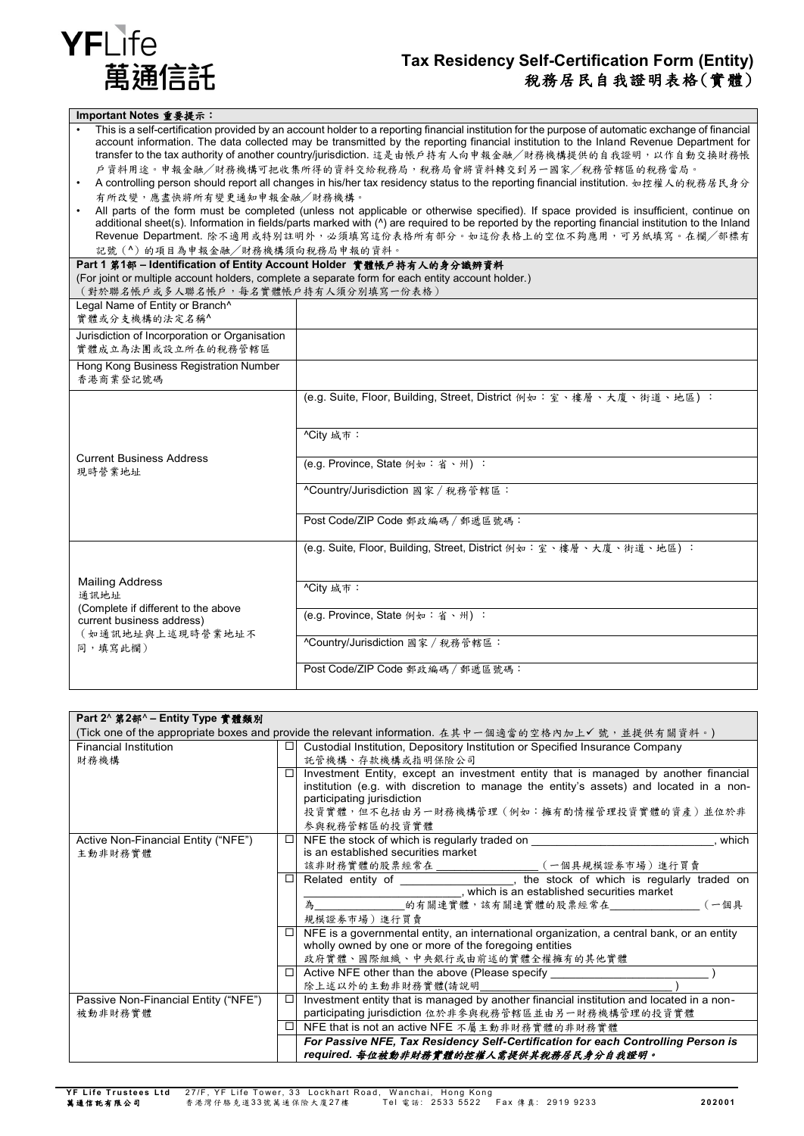

# **Tax Residency Self-Certification Form (Entity)** 稅務居民自我證明表格(實體)

| Important Notes 重要提示:                                                                           |                                                                                                                                                                                                                                                                                                                                                                                                                                                                                                                                                                                                                                                                                                                                                                                                                                                                                                                                                                               |
|-------------------------------------------------------------------------------------------------|-------------------------------------------------------------------------------------------------------------------------------------------------------------------------------------------------------------------------------------------------------------------------------------------------------------------------------------------------------------------------------------------------------------------------------------------------------------------------------------------------------------------------------------------------------------------------------------------------------------------------------------------------------------------------------------------------------------------------------------------------------------------------------------------------------------------------------------------------------------------------------------------------------------------------------------------------------------------------------|
| 有所改變,應盡快將所有變更通知申報金融/財務機構。<br>記號(^)的項目為申報金融/財務機構須向稅務局申報的資料。                                      | This is a self-certification provided by an account holder to a reporting financial institution for the purpose of automatic exchange of financial<br>account information. The data collected may be transmitted by the reporting financial institution to the Inland Revenue Department for<br>transfer to the tax authority of another country/jurisdiction. 這是由帳戶持有人向申報金融/財務機構提供的自我證明,以作自動交換財務帳<br>户資料用途。申報金融/財務機構可把收集所得的資料交給稅務局,稅務局會將資料轉交到另一國家/稅務管轄區的稅務當局。<br>A controlling person should report all changes in his/her tax residency status to the reporting financial institution. 如控權人的稅務居民身分<br>All parts of the form must be completed (unless not applicable or otherwise specified). If space provided is insufficient, continue on<br>additional sheet(s). Information in fields/parts marked with (^) are required to be reported by the reporting financial institution to the Inland<br>Revenue Department. 除不適用或特別註明外,必須填寫這份表格所有部分。如這份表格上的空位不夠應用,可另紙填寫。在欄/部標有 |
| Part 1 第1部-Identification of Entity Account Holder 實體帳戶持有人的身分識辨資料                               |                                                                                                                                                                                                                                                                                                                                                                                                                                                                                                                                                                                                                                                                                                                                                                                                                                                                                                                                                                               |
| (對於聯名帳戶或多人聯名帳戶,每名實體帳戶持有人須分別填寫一份表格)                                                              | (For joint or multiple account holders, complete a separate form for each entity account holder.)                                                                                                                                                                                                                                                                                                                                                                                                                                                                                                                                                                                                                                                                                                                                                                                                                                                                             |
| Legal Name of Entity or Branch^                                                                 |                                                                                                                                                                                                                                                                                                                                                                                                                                                                                                                                                                                                                                                                                                                                                                                                                                                                                                                                                                               |
| 實體或分支機構的法定名稱^                                                                                   |                                                                                                                                                                                                                                                                                                                                                                                                                                                                                                                                                                                                                                                                                                                                                                                                                                                                                                                                                                               |
| Jurisdiction of Incorporation or Organisation<br>實體成立為法團或設立所在的稅務管轄區                             |                                                                                                                                                                                                                                                                                                                                                                                                                                                                                                                                                                                                                                                                                                                                                                                                                                                                                                                                                                               |
| Hong Kong Business Registration Number<br>香港商業登記號碼                                              |                                                                                                                                                                                                                                                                                                                                                                                                                                                                                                                                                                                                                                                                                                                                                                                                                                                                                                                                                                               |
|                                                                                                 | (e.g. Suite, Floor, Building, Street, District 例如:室、樓層、大廈、街道、地區):                                                                                                                                                                                                                                                                                                                                                                                                                                                                                                                                                                                                                                                                                                                                                                                                                                                                                                             |
|                                                                                                 | ^City 城市:                                                                                                                                                                                                                                                                                                                                                                                                                                                                                                                                                                                                                                                                                                                                                                                                                                                                                                                                                                     |
| <b>Current Business Address</b><br>現時營業地址                                                       | (e.g. Province, State 例如:省、州):                                                                                                                                                                                                                                                                                                                                                                                                                                                                                                                                                                                                                                                                                                                                                                                                                                                                                                                                                |
|                                                                                                 | ^Country/Jurisdiction 國家 / 稅務管轄區:                                                                                                                                                                                                                                                                                                                                                                                                                                                                                                                                                                                                                                                                                                                                                                                                                                                                                                                                             |
|                                                                                                 | Post Code/ZIP Code 郵政編碼 / 郵遞區號碼:                                                                                                                                                                                                                                                                                                                                                                                                                                                                                                                                                                                                                                                                                                                                                                                                                                                                                                                                              |
|                                                                                                 | (e.g. Suite, Floor, Building, Street, District 例如: 室、樓層、大廈、街道、地區):                                                                                                                                                                                                                                                                                                                                                                                                                                                                                                                                                                                                                                                                                                                                                                                                                                                                                                            |
| <b>Mailing Address</b><br>通訊地址                                                                  | ^City 城市:                                                                                                                                                                                                                                                                                                                                                                                                                                                                                                                                                                                                                                                                                                                                                                                                                                                                                                                                                                     |
| (Complete if different to the above<br>current business address)<br>(如通訊地址與上述現時營業地址不<br>同,填寫此欄) | (e.g. Province, State 例如:省、州):                                                                                                                                                                                                                                                                                                                                                                                                                                                                                                                                                                                                                                                                                                                                                                                                                                                                                                                                                |
|                                                                                                 | ^Country/Jurisdiction 國家 / 稅務管轄區:                                                                                                                                                                                                                                                                                                                                                                                                                                                                                                                                                                                                                                                                                                                                                                                                                                                                                                                                             |
|                                                                                                 | Post Code/ZIP Code 郵政編碼 / 郵遞區號碼:                                                                                                                                                                                                                                                                                                                                                                                                                                                                                                                                                                                                                                                                                                                                                                                                                                                                                                                                              |

| Part 2^ 第2部^-Entity Type 實體類別                                                                      |        |                                                                                                                |  |  |
|----------------------------------------------------------------------------------------------------|--------|----------------------------------------------------------------------------------------------------------------|--|--|
| (Tick one of the appropriate boxes and provide the relevant information. 在其中一個適當的空格內加上√號,並提供有關資料。) |        |                                                                                                                |  |  |
| <b>Financial Institution</b>                                                                       |        | $\Box$ Custodial Institution, Depository Institution or Specified Insurance Company                            |  |  |
| 財務機構                                                                                               |        | 託管機構、存款機構或指明保險公司                                                                                               |  |  |
|                                                                                                    |        | Investment Entity, except an investment entity that is managed by another financial                            |  |  |
|                                                                                                    |        | institution (e.g. with discretion to manage the entity's assets) and located in a non-                         |  |  |
|                                                                                                    |        | participating jurisdiction                                                                                     |  |  |
|                                                                                                    |        | 投資實體,但不包括由另一財務機構管理(例如:擁有酌情權管理投資實體的資產)並位於非                                                                      |  |  |
|                                                                                                    |        | 参與稅務管轄區的投資實體                                                                                                   |  |  |
| Active Non-Financial Entity ("NFE")                                                                | $\Box$ | NFE the stock of which is regularly traded on <b>with the stock of which is regularly traded on</b><br>. which |  |  |
| 主動非財務實體                                                                                            |        | is an established securities market                                                                            |  |  |
|                                                                                                    |        | 該非財務實體的股票經常在 ___________________(一個具規模證券市場)進行買賣                                                                |  |  |
|                                                                                                    | □      | Related entity of ____________________, the stock of which is regularly traded on                              |  |  |
|                                                                                                    |        |                                                                                                                |  |  |
|                                                                                                    |        |                                                                                                                |  |  |
|                                                                                                    |        | 規模證券市場)進行買賣                                                                                                    |  |  |
|                                                                                                    | □      | NFE is a governmental entity, an international organization, a central bank, or an entity                      |  |  |
|                                                                                                    |        | wholly owned by one or more of the foregoing entities                                                          |  |  |
|                                                                                                    |        | 政府實體、國際組織、中央銀行或由前述的實體全權擁有的其他實體                                                                                 |  |  |
|                                                                                                    |        | $\Box$ Active NFE other than the above (Please specify                                                         |  |  |
|                                                                                                    |        | 除上述以外的主動非財務實體(請說明                                                                                              |  |  |
| Passive Non-Financial Entity ("NFE")                                                               | □      | Investment entity that is managed by another financial institution and located in a non-                       |  |  |
| 被動非財務實體                                                                                            |        | participating jurisdiction 位於非參與稅務管轄區並由另一財務機構管理的投資實體                                                           |  |  |
|                                                                                                    | □      | NFE that is not an active NFE 不屬主動非財務實體的非財務實體                                                                  |  |  |
|                                                                                                    |        | For Passive NFE, Tax Residency Self-Certification for each Controlling Person is                               |  |  |
|                                                                                                    |        | required. 每位被動非財務實體的控權人需提供其稅務居民身分自我證明。                                                                         |  |  |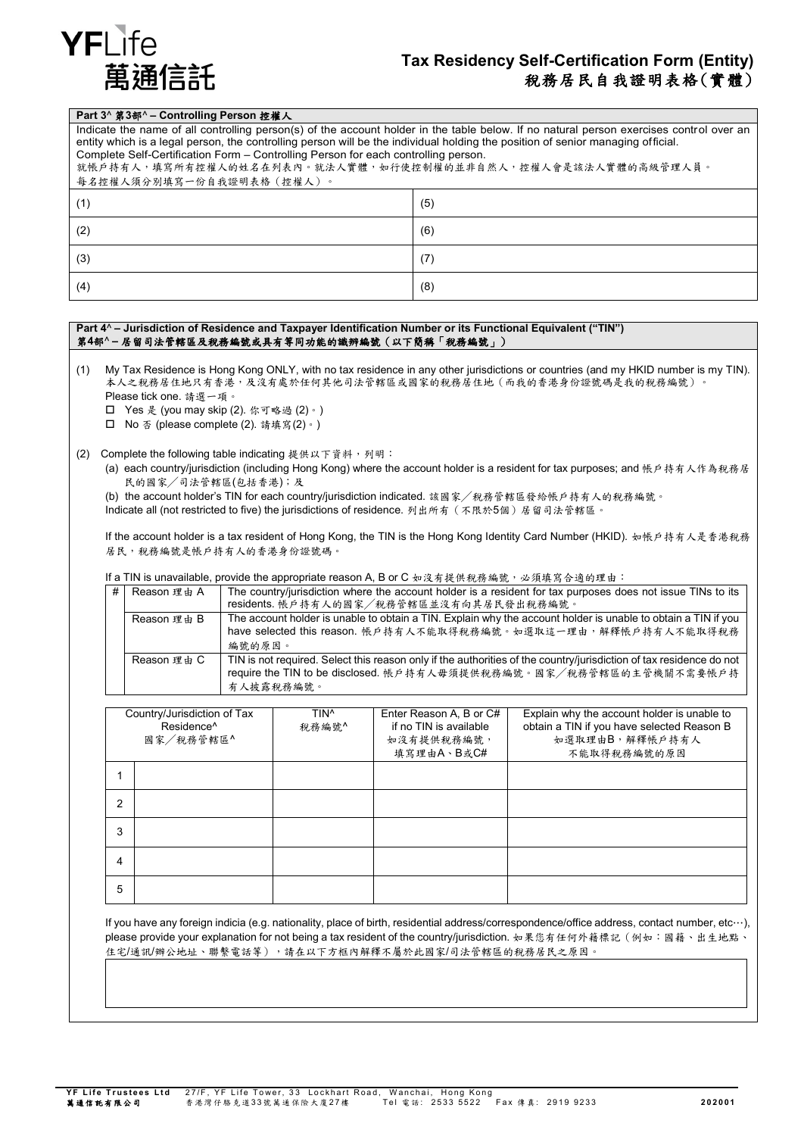

### **Tax Residency Self-Certification Form (Entity)** 稅務居民自我證明表格(實體)

### **Part 3**^ 第**3**部^ **– Controlling Person** 控權人

Indicate the name of all controlling person(s) of the account holder in the table below. If no natural person exercises control over an entity which is a legal person, the controlling person will be the individual holding the position of senior managing official. Complete Self-Certification Form – Controlling Person for each controlling person.

| 就帳戶持有人,填寫所有控權人的姓名在列表內。就法人實體,如行使控制權的並非自然人,控權人會是該法人實體的高級管理人員。 |  |  |
|-------------------------------------------------------------|--|--|
| 每名控權人須分別填寫一份自我證明表格(控權人)。                                    |  |  |

| (1) | (5) |
|-----|-----|
| (2) | (6) |
| (3) | (7) |
| (4) | (8) |

#### **Part 4**^ **– Jurisdiction of Residence and Taxpayer Identification Number or its Functional Equivalent ("TIN")** 第**4**部^ **–** 居留司法管轄區及稅務編號或具有等同功能的識辨編號(以下簡稱「稅務編號」)

(1) My Tax Residence is Hong Kong ONLY, with no tax residence in any other jurisdictions or countries (and my HKID number is my TIN). 本人之稅務居住地只有香港,及沒有處於任何其他司法管轄區或國家的稅務居住地(而我的香港身份證號碼是我的稅務編號)。 Please tick one. 請選一項。

Yes 是 (you may skip (2). 你可略過 (2)。)

No 否 (please complete (2). 請填寫(2)。)

- (2) Complete the following table indicating 提供以下資料,列明:
	- (a) each country/jurisdiction (including Hong Kong) where the account holder is a resident for tax purposes; and 帳戶持有人作為稅務居 民的國家╱司法管轄區(包括香港);及

(b) the account holder's TIN for each country/jurisdiction indicated. 該國家╱稅務管轄區發給帳戶持有人的稅務編號。

Indicate all (not restricted to five) the jurisdictions of residence. 列出所有(不限於5個)居留司法管轄區。

If the account holder is a tax resident of Hong Kong, the TIN is the Hong Kong Identity Card Number (HKID). 如帳戶持有人是香港稅務 居民,稅務編號是帳戶持有人的香港身份證號碼。

If a TIN is unavailable, provide the appropriate reason A, B or C 如沒有提供稅務編號,必須填寫合適的理由:

| # Reason 理由 A | The country/jurisdiction where the account holder is a resident for tax purposes does not issue TINs to its<br>residents. 帳戶持有人的國家/稅務管轄區並沒有向其居民發出稅務編號。                                                 |
|---------------|--------------------------------------------------------------------------------------------------------------------------------------------------------------------------------------------------------|
| Reason 理由 B   | The account holder is unable to obtain a TIN. Explain why the account holder is unable to obtain a TIN if you<br>have selected this reason. 帳戶持有人不能取得稅務編號。如選取這一理由,解釋帳戶持有人不能取得稅務<br>編號的原因。              |
| Reason 理由 C   | TIN is not required. Select this reason only if the authorities of the country/jurisdiction of tax residence do not<br>require the TIN to be disclosed. 帳戶持有人毋須提供稅務編號。國家/稅務管轄區的主管機關不需要帳戶持<br>有人披露稅務編號。 |

|                | Country/Jurisdiction of Tax<br>Residence <sup>^</sup><br>國家/稅務管轄區^ | TIN <sup>^</sup><br>稅務編號^ | Enter Reason A, B or C#<br>if no TIN is available<br>如沒有提供稅務編號, | Explain why the account holder is unable to<br>obtain a TIN if you have selected Reason B<br>如選取理由B,解釋帳戶持有人 |
|----------------|--------------------------------------------------------------------|---------------------------|-----------------------------------------------------------------|-------------------------------------------------------------------------------------------------------------|
|                |                                                                    |                           | 填寫理由A、B或C#                                                      | 不能取得税務編號的原因                                                                                                 |
|                |                                                                    |                           |                                                                 |                                                                                                             |
| $\overline{2}$ |                                                                    |                           |                                                                 |                                                                                                             |
| 3              |                                                                    |                           |                                                                 |                                                                                                             |
| 4              |                                                                    |                           |                                                                 |                                                                                                             |
| 5              |                                                                    |                           |                                                                 |                                                                                                             |

If you have any foreign indicia (e.g. nationality, place of birth, residential address/correspondence/office address, contact number, etc…), please provide your explanation for not being a tax resident of the country/jurisdiction. 如果您有任何外籍標記(例如:國籍、出生地點、 住宅/通訊/辦公地址、聯繫電話等),請在以下方框內解釋不屬於此國家/司法管轄區的稅務居民之原因。